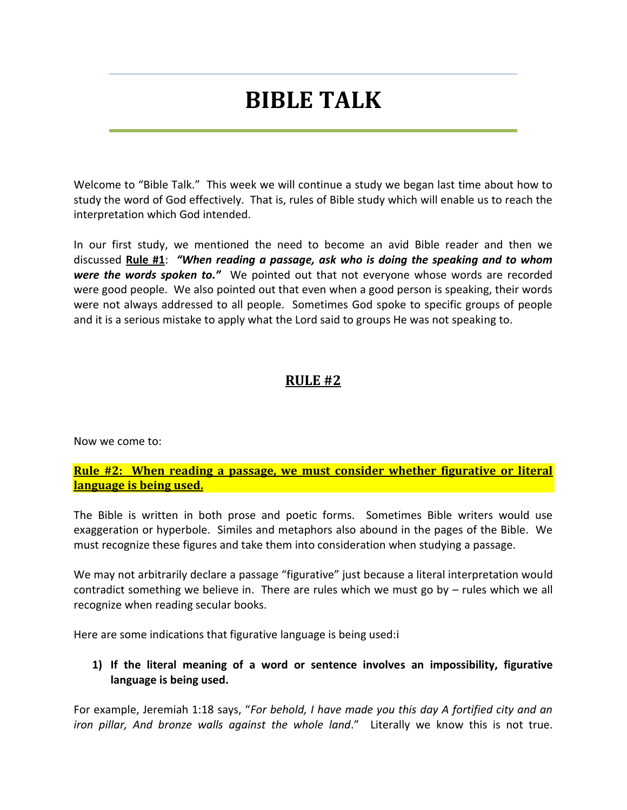# **BIBLE TALK**

Welcome to "Bible Talk." This week we will continue a study we began last time about how to study the word of God effectively. That is, rules of Bible study which will enable us to reach the interpretation which God intended.

In our first study, we mentioned the need to become an avid Bible reader and then we discussed **Rule #1**: *"When reading a passage, ask who is doing the speaking and to whom were the words spoken to."* We pointed out that not everyone whose words are recorded were good people. We also pointed out that even when a good person is speaking, their words were not always addressed to all people. Sometimes God spoke to specific groups of people and it is a serious mistake to apply what the Lord said to groups He was not speaking to.

## **RULE #2**

Now we come to:

**Rule #2: When reading a passage, we must consider whether figurative or literal language is being used.**

The Bible is written in both prose and poetic forms. Sometimes Bible writers would use exaggeration or hyperbole. Similes and metaphors also abound in the pages of the Bible. We must recognize these figures and take them into consideration when studying a passage.

We may not arbitrarily declare a passage "figurative" just because a literal interpretation would contradict something we believe in. There are rules which we must go by – rules which we all recognize when reading secular books.

Here are some indications that figurative language is being used:i

#### **1) If the literal meaning of a word or sentence involves an impossibility, figurative language is being used.**

For example, Jeremiah 1:18 says, "*For behold, I have made you this day A fortified city and an iron pillar, And bronze walls against the whole land*." Literally we know this is not true.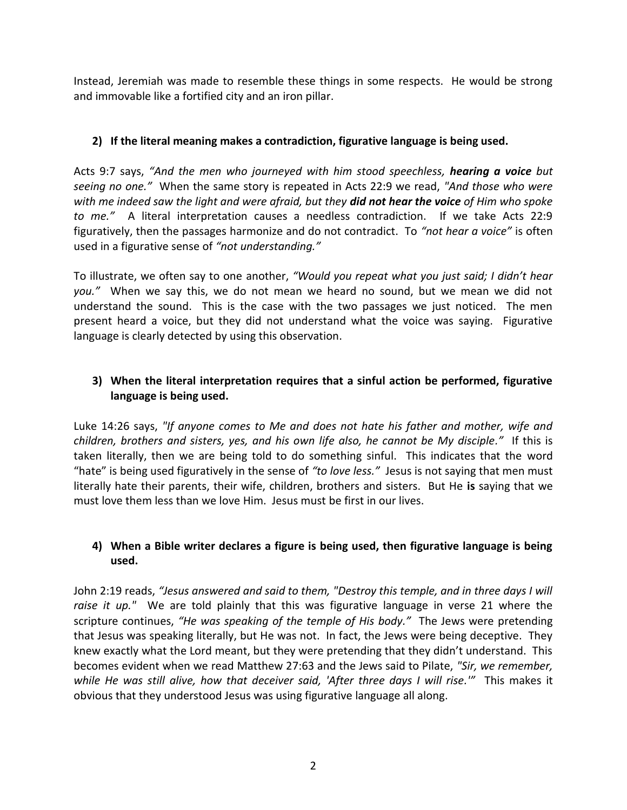Instead, Jeremiah was made to resemble these things in some respects. He would be strong and immovable like a fortified city and an iron pillar.

## **2) If the literal meaning makes a contradiction, figurative language is being used.**

Acts 9:7 says, *"And the men who journeyed with him stood speechless, hearing a voice but seeing no one."* When the same story is repeated in Acts 22:9 we read, *"And those who were with me indeed saw the light and were afraid, but they did not hear the voice of Him who spoke to me."* A literal interpretation causes a needless contradiction. If we take Acts 22:9 figuratively, then the passages harmonize and do not contradict. To *"not hear a voice"* is often used in a figurative sense of *"not understanding."*

To illustrate, we often say to one another, *"Would you repeat what you just said; I didn't hear you."* When we say this, we do not mean we heard no sound, but we mean we did not understand the sound. This is the case with the two passages we just noticed. The men present heard a voice, but they did not understand what the voice was saying. Figurative language is clearly detected by using this observation.

## **3) When the literal interpretation requires that a sinful action be performed, figurative language is being used.**

Luke 14:26 says, *"If anyone comes to Me and does not hate his father and mother, wife and children, brothers and sisters, yes, and his own life also, he cannot be My disciple."* If this is taken literally, then we are being told to do something sinful. This indicates that the word "hate" is being used figuratively in the sense of *"to love less."* Jesus is not saying that men must literally hate their parents, their wife, children, brothers and sisters. But He **is** saying that we must love them less than we love Him. Jesus must be first in our lives.

#### **4) When a Bible writer declares a figure is being used, then figurative language is being used.**

John 2:19 reads, *"Jesus answered and said to them, "Destroy this temple, and in three days I will raise it up."* We are told plainly that this was figurative language in verse 21 where the scripture continues, *"He was speaking of the temple of His body."* The Jews were pretending that Jesus was speaking literally, but He was not. In fact, the Jews were being deceptive. They knew exactly what the Lord meant, but they were pretending that they didn't understand. This becomes evident when we read Matthew 27:63 and the Jews said to Pilate, *"Sir, we remember,*  while He was still alive, how that deceiver said, 'After three days I will rise.'" This makes it obvious that they understood Jesus was using figurative language all along.